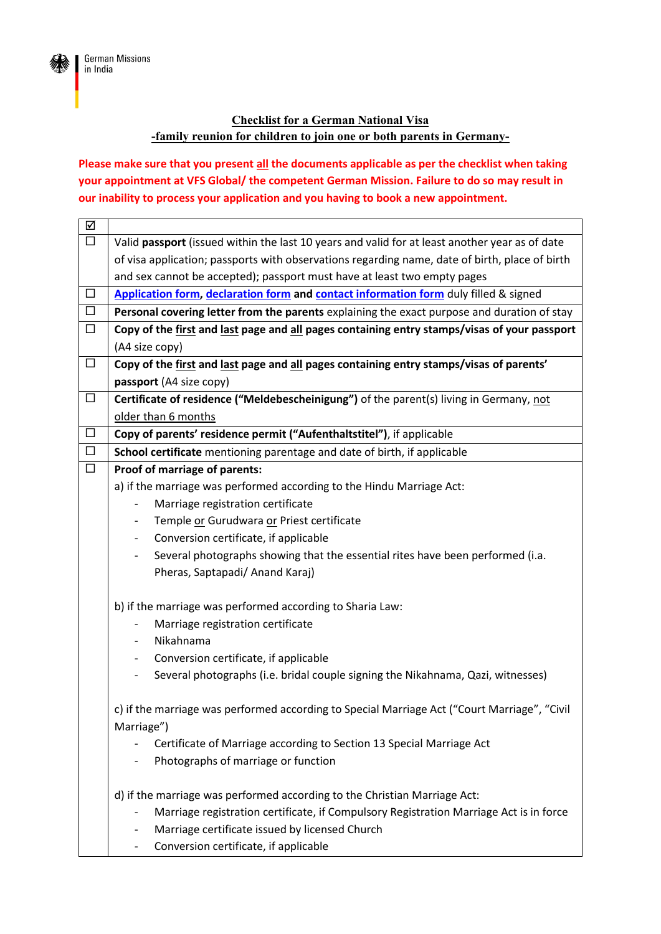

## **Checklist for a German National Visa -family reunion for children to join one or both parents in Germany-**

**Please make sure that you present all the documents applicable as per the checklist when taking your appointment at VFS Global/ the competent German Mission. Failure to do so may result in our inability to process your application and you having to book a new appointment.**

| ☑      |                                                                                                                 |
|--------|-----------------------------------------------------------------------------------------------------------------|
| $\Box$ | Valid passport (issued within the last 10 years and valid for at least another year as of date                  |
|        | of visa application; passports with observations regarding name, date of birth, place of birth                  |
|        | and sex cannot be accepted); passport must have at least two empty pages                                        |
| $\Box$ | Application form, declaration form and contact information form duly filled & signed                            |
| $\Box$ | Personal covering letter from the parents explaining the exact purpose and duration of stay                     |
| $\Box$ | Copy of the first and last page and all pages containing entry stamps/visas of your passport                    |
|        | (A4 size copy)                                                                                                  |
| $\Box$ | Copy of the first and last page and all pages containing entry stamps/visas of parents'                         |
|        | passport (A4 size copy)                                                                                         |
| $\Box$ | Certificate of residence ("Meldebescheinigung") of the parent(s) living in Germany, not                         |
|        | older than 6 months                                                                                             |
| $\Box$ | Copy of parents' residence permit ("Aufenthaltstitel"), if applicable                                           |
| $\Box$ | School certificate mentioning parentage and date of birth, if applicable                                        |
| $\Box$ | Proof of marriage of parents:                                                                                   |
|        | a) if the marriage was performed according to the Hindu Marriage Act:                                           |
|        | Marriage registration certificate<br>$\qquad \qquad -$                                                          |
|        | Temple or Gurudwara or Priest certificate                                                                       |
|        | Conversion certificate, if applicable                                                                           |
|        | Several photographs showing that the essential rites have been performed (i.a.<br>-                             |
|        | Pheras, Saptapadi/ Anand Karaj)                                                                                 |
|        | b) if the marriage was performed according to Sharia Law:                                                       |
|        | Marriage registration certificate                                                                               |
|        | Nikahnama                                                                                                       |
|        | Conversion certificate, if applicable<br>-                                                                      |
|        | Several photographs (i.e. bridal couple signing the Nikahnama, Qazi, witnesses)<br>$\qquad \qquad \blacksquare$ |
|        |                                                                                                                 |
|        | c) if the marriage was performed according to Special Marriage Act ("Court Marriage", "Civil                    |
|        | Marriage")                                                                                                      |
|        | Certificate of Marriage according to Section 13 Special Marriage Act                                            |
|        | Photographs of marriage or function                                                                             |
|        | d) if the marriage was performed according to the Christian Marriage Act:                                       |
|        | Marriage registration certificate, if Compulsory Registration Marriage Act is in force                          |
|        | Marriage certificate issued by licensed Church<br>-                                                             |
|        | Conversion certificate, if applicable                                                                           |
|        |                                                                                                                 |